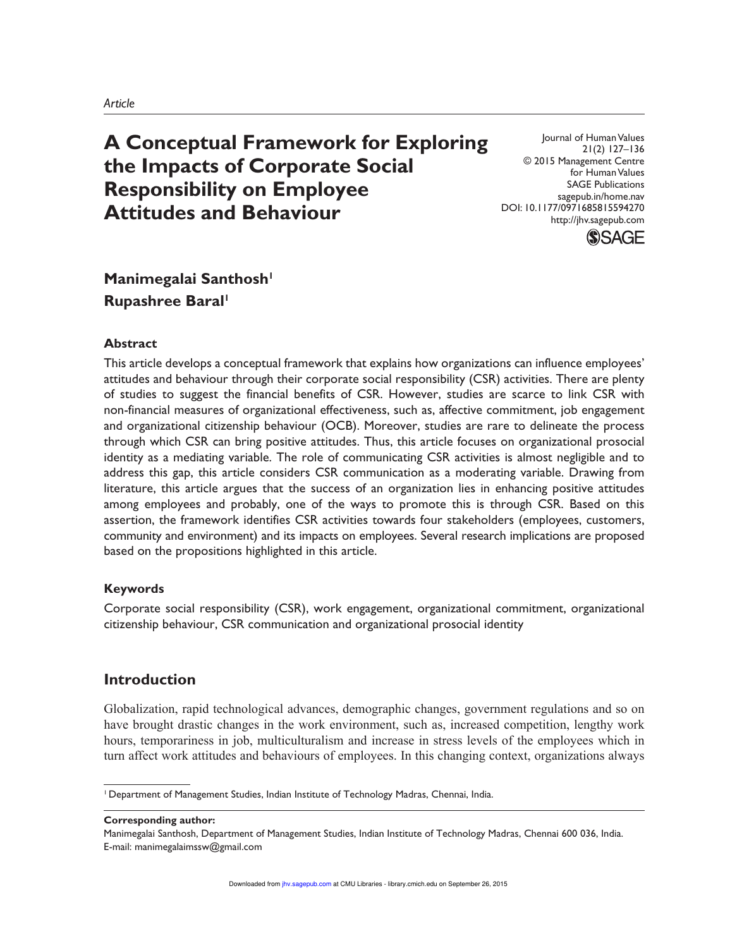# **A Conceptual Framework for Exploring the Impacts of Corporate Social Responsibility on Employee Attitudes and Behaviour**

Journal of Human Values 21(2) 127–136 © 2015 Management Centre for Human Values SAGE Publications sagepub.in/home.nav DOI: 10.1177/0971685815594270 http://jhv.sagepub.com



# **Manimegalai Santhosh<sup>1</sup> Rupashree Baral**<sup>1</sup>

#### **Abstract**

This article develops a conceptual framework that explains how organizations can influence employees' attitudes and behaviour through their corporate social responsibility (CSR) activities. There are plenty of studies to suggest the financial benefits of CSR. However, studies are scarce to link CSR with non-financial measures of organizational effectiveness, such as, affective commitment, job engagement and organizational citizenship behaviour (OCB). Moreover, studies are rare to delineate the process through which CSR can bring positive attitudes. Thus, this article focuses on organizational prosocial identity as a mediating variable. The role of communicating CSR activities is almost negligible and to address this gap, this article considers CSR communication as a moderating variable. Drawing from literature, this article argues that the success of an organization lies in enhancing positive attitudes among employees and probably, one of the ways to promote this is through CSR. Based on this assertion, the framework identifies CSR activities towards four stakeholders (employees, customers, community and environment) and its impacts on employees. Several research implications are proposed based on the propositions highlighted in this article.

#### **Keywords**

Corporate social responsibility (CSR), work engagement, organizational commitment, organizational citizenship behaviour, CSR communication and organizational prosocial identity

## **Introduction**

Globalization, rapid technological advances, demographic changes, government regulations and so on have brought drastic changes in the work environment, such as, increased competition, lengthy work hours, temporariness in job, multiculturalism and increase in stress levels of the employees which in turn affect work attitudes and behaviours of employees. In this changing context, organizations always

**Corresponding author:**

<sup>1</sup>Department of Management Studies, Indian Institute of Technology Madras, Chennai, India.

Manimegalai Santhosh, Department of Management Studies, Indian Institute of Technology Madras, Chennai 600 036, India. E-mail: manimegalaimssw@gmail.com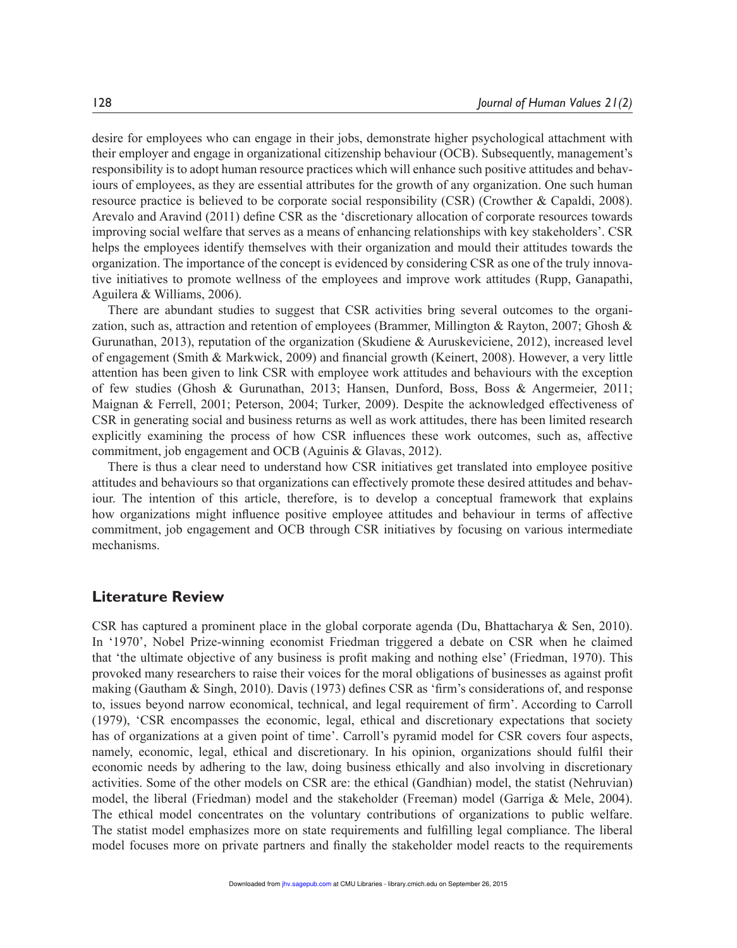desire for employees who can engage in their jobs, demonstrate higher psychological attachment with their employer and engage in organizational citizenship behaviour (OCB). Subsequently, management's responsibility is to adopt human resource practices which will enhance such positive attitudes and behaviours of employees, as they are essential attributes for the growth of any organization. One such human resource practice is believed to be corporate social responsibility (CSR) (Crowther & Capaldi, 2008). Arevalo and Aravind (2011) define CSR as the 'discretionary allocation of corporate resources towards improving social welfare that serves as a means of enhancing relationships with key stakeholders'. CSR helps the employees identify themselves with their organization and mould their attitudes towards the organization. The importance of the concept is evidenced by considering CSR as one of the truly innovative initiatives to promote wellness of the employees and improve work attitudes (Rupp, Ganapathi, Aguilera & Williams, 2006).

There are abundant studies to suggest that CSR activities bring several outcomes to the organization, such as, attraction and retention of employees (Brammer, Millington & Rayton, 2007; Ghosh & Gurunathan, 2013), reputation of the organization (Skudiene & Auruskeviciene, 2012), increased level of engagement (Smith & Markwick, 2009) and financial growth (Keinert, 2008). However, a very little attention has been given to link CSR with employee work attitudes and behaviours with the exception of few studies (Ghosh & Gurunathan, 2013; Hansen, Dunford, Boss, Boss & Angermeier, 2011; Maignan & Ferrell, 2001; Peterson, 2004; Turker, 2009). Despite the acknowledged effectiveness of CSR in generating social and business returns as well as work attitudes, there has been limited research explicitly examining the process of how CSR influences these work outcomes, such as, affective commitment, job engagement and OCB (Aguinis & Glavas, 2012).

There is thus a clear need to understand how CSR initiatives get translated into employee positive attitudes and behaviours so that organizations can effectively promote these desired attitudes and behaviour. The intention of this article, therefore, is to develop a conceptual framework that explains how organizations might influence positive employee attitudes and behaviour in terms of affective commitment, job engagement and OCB through CSR initiatives by focusing on various intermediate mechanisms.

#### **Literature Review**

CSR has captured a prominent place in the global corporate agenda (Du, Bhattacharya & Sen, 2010). In '1970', Nobel Prize-winning economist Friedman triggered a debate on CSR when he claimed that 'the ultimate objective of any business is profit making and nothing else' (Friedman, 1970). This provoked many researchers to raise their voices for the moral obligations of businesses as against profit making (Gautham & Singh, 2010). Davis (1973) defines CSR as 'firm's considerations of, and response to, issues beyond narrow economical, technical, and legal requirement of firm'. According to Carroll (1979), 'CSR encompasses the economic, legal, ethical and discretionary expectations that society has of organizations at a given point of time'. Carroll's pyramid model for CSR covers four aspects, namely, economic, legal, ethical and discretionary. In his opinion, organizations should fulfil their economic needs by adhering to the law, doing business ethically and also involving in discretionary activities. Some of the other models on CSR are: the ethical (Gandhian) model, the statist (Nehruvian) model, the liberal (Friedman) model and the stakeholder (Freeman) model (Garriga & Mele, 2004). The ethical model concentrates on the voluntary contributions of organizations to public welfare. The statist model emphasizes more on state requirements and fulfilling legal compliance. The liberal model focuses more on private partners and finally the stakeholder model reacts to the requirements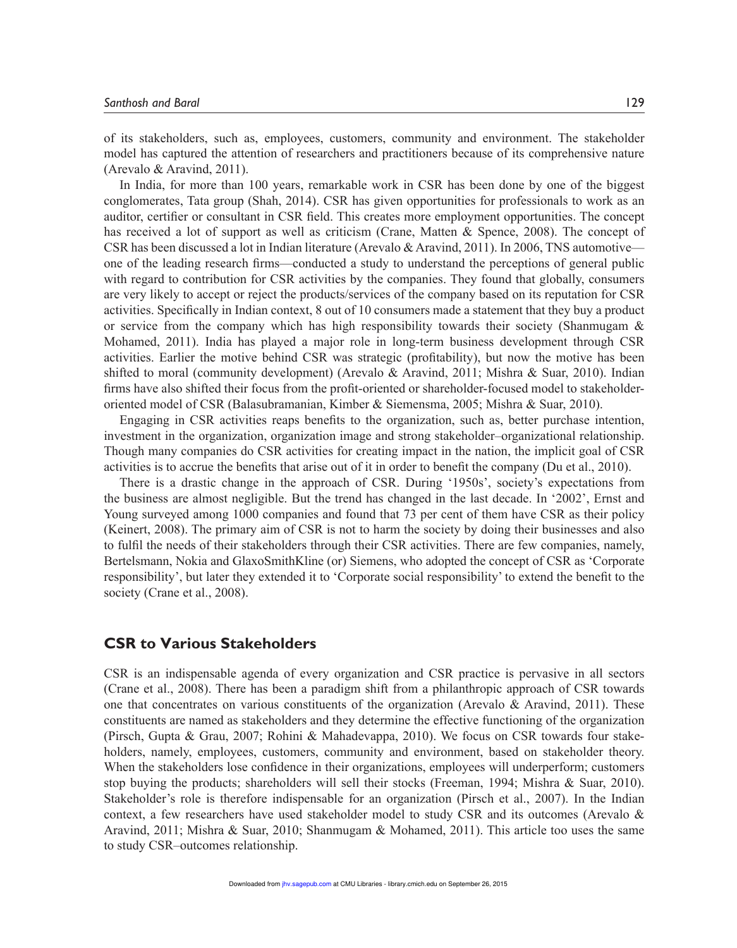of its stakeholders, such as, employees, customers, community and environment. The stakeholder model has captured the attention of researchers and practitioners because of its comprehensive nature (Arevalo & Aravind, 2011).

In India, for more than 100 years, remarkable work in CSR has been done by one of the biggest conglomerates, Tata group (Shah, 2014). CSR has given opportunities for professionals to work as an auditor, certifier or consultant in CSR field. This creates more employment opportunities. The concept has received a lot of support as well as criticism (Crane, Matten & Spence, 2008). The concept of CSR has been discussed a lot in Indian literature (Arevalo & Aravind, 2011). In 2006, TNS automotive one of the leading research firms—conducted a study to understand the perceptions of general public with regard to contribution for CSR activities by the companies. They found that globally, consumers are very likely to accept or reject the products/services of the company based on its reputation for CSR activities. Specifically in Indian context, 8 out of 10 consumers made a statement that they buy a product or service from the company which has high responsibility towards their society (Shanmugam  $\&$ Mohamed, 2011). India has played a major role in long-term business development through CSR activities. Earlier the motive behind CSR was strategic (profitability), but now the motive has been shifted to moral (community development) (Arevalo & Aravind, 2011; Mishra & Suar, 2010). Indian firms have also shifted their focus from the profit-oriented or shareholder-focused model to stakeholderoriented model of CSR (Balasubramanian, Kimber & Siemensma, 2005; Mishra & Suar, 2010).

Engaging in CSR activities reaps benefits to the organization, such as, better purchase intention, investment in the organization, organization image and strong stakeholder–organizational relationship. Though many companies do CSR activities for creating impact in the nation, the implicit goal of CSR activities is to accrue the benefits that arise out of it in order to benefit the company (Du et al., 2010).

There is a drastic change in the approach of CSR. During '1950s', society's expectations from the business are almost negligible. But the trend has changed in the last decade. In '2002', Ernst and Young surveyed among 1000 companies and found that 73 per cent of them have CSR as their policy (Keinert, 2008). The primary aim of CSR is not to harm the society by doing their businesses and also to fulfil the needs of their stakeholders through their CSR activities. There are few companies, namely, Bertelsmann, Nokia and GlaxoSmithKline (or) Siemens, who adopted the concept of CSR as 'Corporate responsibility', but later they extended it to 'Corporate social responsibility' to extend the benefit to the society (Crane et al., 2008).

#### **CSR to Various Stakeholders**

CSR is an indispensable agenda of every organization and CSR practice is pervasive in all sectors (Crane et al., 2008). There has been a paradigm shift from a philanthropic approach of CSR towards one that concentrates on various constituents of the organization (Arevalo & Aravind, 2011). These constituents are named as stakeholders and they determine the effective functioning of the organization (Pirsch, Gupta & Grau, 2007; Rohini & Mahadevappa, 2010). We focus on CSR towards four stakeholders, namely, employees, customers, community and environment, based on stakeholder theory. When the stakeholders lose confidence in their organizations, employees will underperform; customers stop buying the products; shareholders will sell their stocks (Freeman, 1994; Mishra & Suar, 2010). Stakeholder's role is therefore indispensable for an organization (Pirsch et al., 2007). In the Indian context, a few researchers have used stakeholder model to study CSR and its outcomes (Arevalo & Aravind, 2011; Mishra & Suar, 2010; Shanmugam & Mohamed, 2011). This article too uses the same to study CSR–outcomes relationship.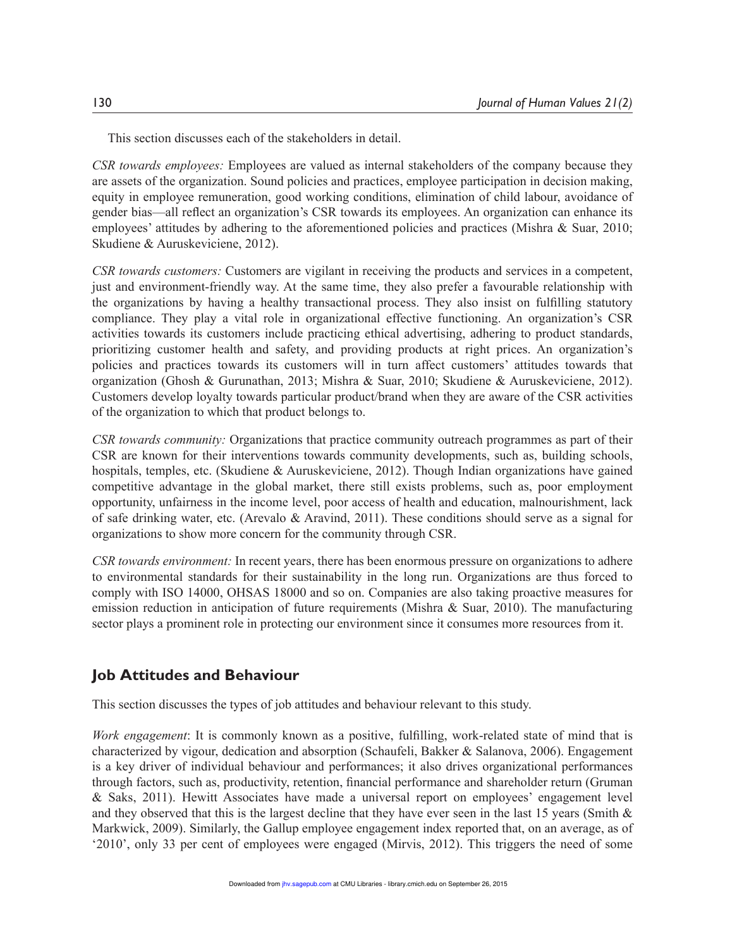This section discusses each of the stakeholders in detail.

*CSR towards employees:* Employees are valued as internal stakeholders of the company because they are assets of the organization. Sound policies and practices, employee participation in decision making, equity in employee remuneration, good working conditions, elimination of child labour, avoidance of gender bias—all reflect an organization's CSR towards its employees. An organization can enhance its employees' attitudes by adhering to the aforementioned policies and practices (Mishra & Suar, 2010; Skudiene & Auruskeviciene, 2012).

*CSR towards customers:* Customers are vigilant in receiving the products and services in a competent, just and environment-friendly way. At the same time, they also prefer a favourable relationship with the organizations by having a healthy transactional process. They also insist on fulfilling statutory compliance. They play a vital role in organizational effective functioning. An organization's CSR activities towards its customers include practicing ethical advertising, adhering to product standards, prioritizing customer health and safety, and providing products at right prices. An organization's policies and practices towards its customers will in turn affect customers' attitudes towards that organization (Ghosh & Gurunathan, 2013; Mishra & Suar, 2010; Skudiene & Auruskeviciene, 2012). Customers develop loyalty towards particular product/brand when they are aware of the CSR activities of the organization to which that product belongs to.

*CSR towards community:* Organizations that practice community outreach programmes as part of their CSR are known for their interventions towards community developments, such as, building schools, hospitals, temples, etc. (Skudiene & Auruskeviciene, 2012). Though Indian organizations have gained competitive advantage in the global market, there still exists problems, such as, poor employment opportunity, unfairness in the income level, poor access of health and education, malnourishment, lack of safe drinking water, etc. (Arevalo & Aravind, 2011). These conditions should serve as a signal for organizations to show more concern for the community through CSR.

*CSR towards environment:* In recent years, there has been enormous pressure on organizations to adhere to environmental standards for their sustainability in the long run. Organizations are thus forced to comply with ISO 14000, OHSAS 18000 and so on. Companies are also taking proactive measures for emission reduction in anticipation of future requirements (Mishra & Suar, 2010). The manufacturing sector plays a prominent role in protecting our environment since it consumes more resources from it.

# **Job Attitudes and Behaviour**

This section discusses the types of job attitudes and behaviour relevant to this study.

*Work engagement*: It is commonly known as a positive, fulfilling, work-related state of mind that is characterized by vigour, dedication and absorption (Schaufeli, Bakker & Salanova, 2006). Engagement is a key driver of individual behaviour and performances; it also drives organizational performances through factors, such as, productivity, retention, financial performance and shareholder return (Gruman & Saks, 2011). Hewitt Associates have made a universal report on employees' engagement level and they observed that this is the largest decline that they have ever seen in the last 15 years (Smith  $\&$ Markwick, 2009). Similarly, the Gallup employee engagement index reported that, on an average, as of '2010', only 33 per cent of employees were engaged (Mirvis, 2012). This triggers the need of some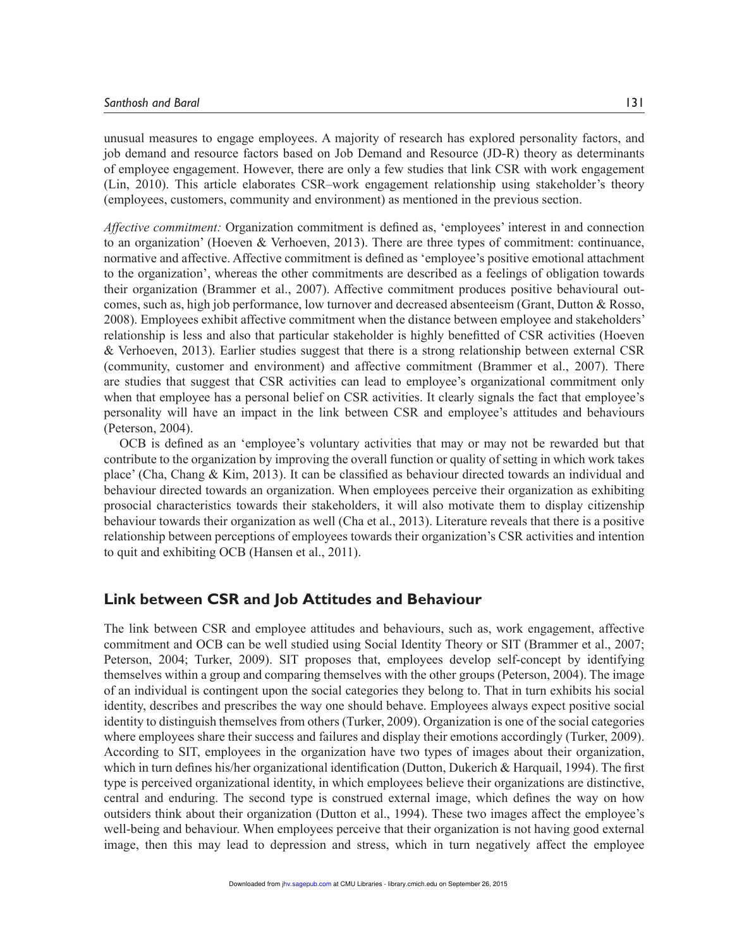unusual measures to engage employees. A majority of research has explored personality factors, and job demand and resource factors based on Job Demand and Resource (JD-R) theory as determinants

of employee engagement. However, there are only a few studies that link CSR with work engagement (Lin, 2010). This article elaborates CSR–work engagement relationship using stakeholder's theory (employees, customers, community and environment) as mentioned in the previous section.

*Affective commitment:* Organization commitment is defined as, 'employees' interest in and connection to an organization' (Hoeven & Verhoeven, 2013). There are three types of commitment: continuance, normative and affective. Affective commitment is defined as 'employee's positive emotional attachment to the organization', whereas the other commitments are described as a feelings of obligation towards their organization (Brammer et al., 2007). Affective commitment produces positive behavioural outcomes, such as, high job performance, low turnover and decreased absenteeism (Grant, Dutton & Rosso, 2008). Employees exhibit affective commitment when the distance between employee and stakeholders' relationship is less and also that particular stakeholder is highly benefitted of CSR activities (Hoeven & Verhoeven, 2013). Earlier studies suggest that there is a strong relationship between external CSR (community, customer and environment) and affective commitment (Brammer et al., 2007). There are studies that suggest that CSR activities can lead to employee's organizational commitment only when that employee has a personal belief on CSR activities. It clearly signals the fact that employee's personality will have an impact in the link between CSR and employee's attitudes and behaviours (Peterson, 2004).

OCB is defined as an 'employee's voluntary activities that may or may not be rewarded but that contribute to the organization by improving the overall function or quality of setting in which work takes place' (Cha, Chang & Kim, 2013). It can be classified as behaviour directed towards an individual and behaviour directed towards an organization. When employees perceive their organization as exhibiting prosocial characteristics towards their stakeholders, it will also motivate them to display citizenship behaviour towards their organization as well (Cha et al., 2013). Literature reveals that there is a positive relationship between perceptions of employees towards their organization's CSR activities and intention to quit and exhibiting OCB (Hansen et al., 2011).

## **Link between CSR and Job Attitudes and Behaviour**

The link between CSR and employee attitudes and behaviours, such as, work engagement, affective commitment and OCB can be well studied using Social Identity Theory or SIT (Brammer et al., 2007; Peterson, 2004; Turker, 2009). SIT proposes that, employees develop self-concept by identifying themselves within a group and comparing themselves with the other groups (Peterson, 2004). The image of an individual is contingent upon the social categories they belong to. That in turn exhibits his social identity, describes and prescribes the way one should behave. Employees always expect positive social identity to distinguish themselves from others (Turker, 2009). Organization is one of the social categories where employees share their success and failures and display their emotions accordingly (Turker, 2009). According to SIT, employees in the organization have two types of images about their organization, which in turn defines his/her organizational identification (Dutton, Dukerich & Harquail, 1994). The first type is perceived organizational identity, in which employees believe their organizations are distinctive, central and enduring. The second type is construed external image, which defines the way on how outsiders think about their organization (Dutton et al., 1994). These two images affect the employee's well-being and behaviour. When employees perceive that their organization is not having good external image, then this may lead to depression and stress, which in turn negatively affect the employee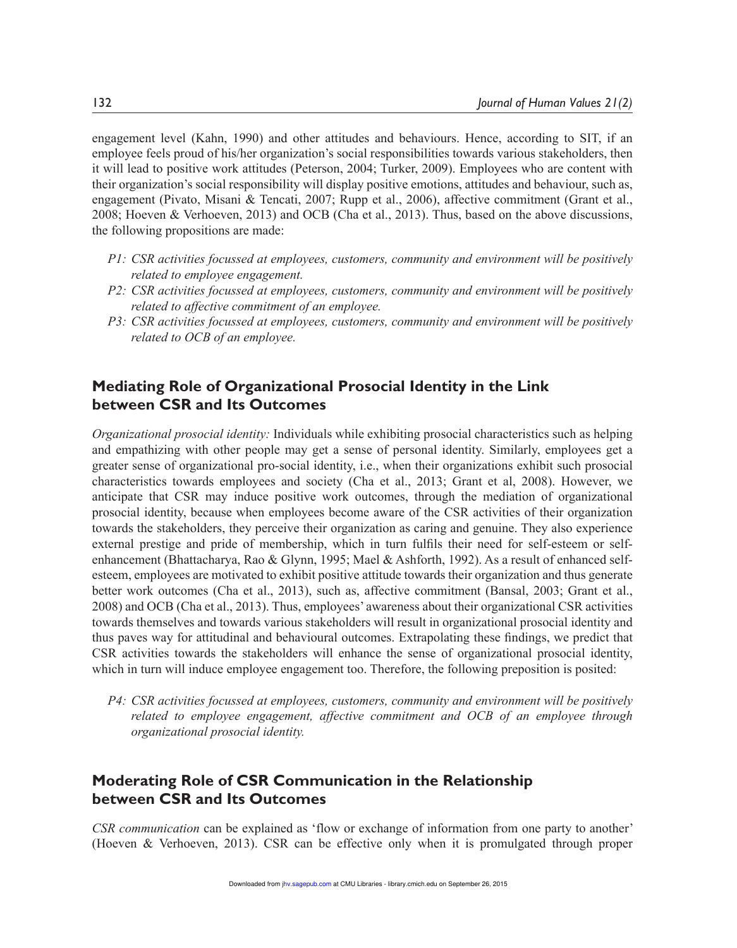engagement level (Kahn, 1990) and other attitudes and behaviours. Hence, according to SIT, if an employee feels proud of his/her organization's social responsibilities towards various stakeholders, then it will lead to positive work attitudes (Peterson, 2004; Turker, 2009). Employees who are content with their organization's social responsibility will display positive emotions, attitudes and behaviour, such as, engagement (Pivato, Misani & Tencati, 2007; Rupp et al., 2006), affective commitment (Grant et al., 2008; Hoeven & Verhoeven, 2013) and OCB (Cha et al., 2013). Thus, based on the above discussions, the following propositions are made:

- *P1: CSR activities focussed at employees, customers, community and environment will be positively related to employee engagement.*
- *P2: CSR activities focussed at employees, customers, community and environment will be positively related to affective commitment of an employee.*
- *P3: CSR activities focussed at employees, customers, community and environment will be positively related to OCB of an employee.*

# **Mediating Role of Organizational Prosocial Identity in the Link between CSR and Its Outcomes**

*Organizational prosocial identity:* Individuals while exhibiting prosocial characteristics such as helping and empathizing with other people may get a sense of personal identity. Similarly, employees get a greater sense of organizational pro-social identity, i.e., when their organizations exhibit such prosocial characteristics towards employees and society (Cha et al., 2013; Grant et al, 2008). However, we anticipate that CSR may induce positive work outcomes, through the mediation of organizational prosocial identity, because when employees become aware of the CSR activities of their organization towards the stakeholders, they perceive their organization as caring and genuine. They also experience external prestige and pride of membership, which in turn fulfils their need for self-esteem or selfenhancement (Bhattacharya, Rao & Glynn, 1995; Mael & Ashforth, 1992). As a result of enhanced selfesteem, employees are motivated to exhibit positive attitude towards their organization and thus generate better work outcomes (Cha et al., 2013), such as, affective commitment (Bansal, 2003; Grant et al., 2008) and OCB (Cha et al., 2013). Thus, employees' awareness about their organizational CSR activities towards themselves and towards various stakeholders will result in organizational prosocial identity and thus paves way for attitudinal and behavioural outcomes. Extrapolating these findings, we predict that CSR activities towards the stakeholders will enhance the sense of organizational prosocial identity, which in turn will induce employee engagement too. Therefore, the following preposition is posited:

*P4: CSR activities focussed at employees, customers, community and environment will be positively related to employee engagement, affective commitment and OCB of an employee through organizational prosocial identity.*

# **Moderating Role of CSR Communication in the Relationship between CSR and Its Outcomes**

*CSR communication* can be explained as 'flow or exchange of information from one party to another' (Hoeven & Verhoeven, 2013). CSR can be effective only when it is promulgated through proper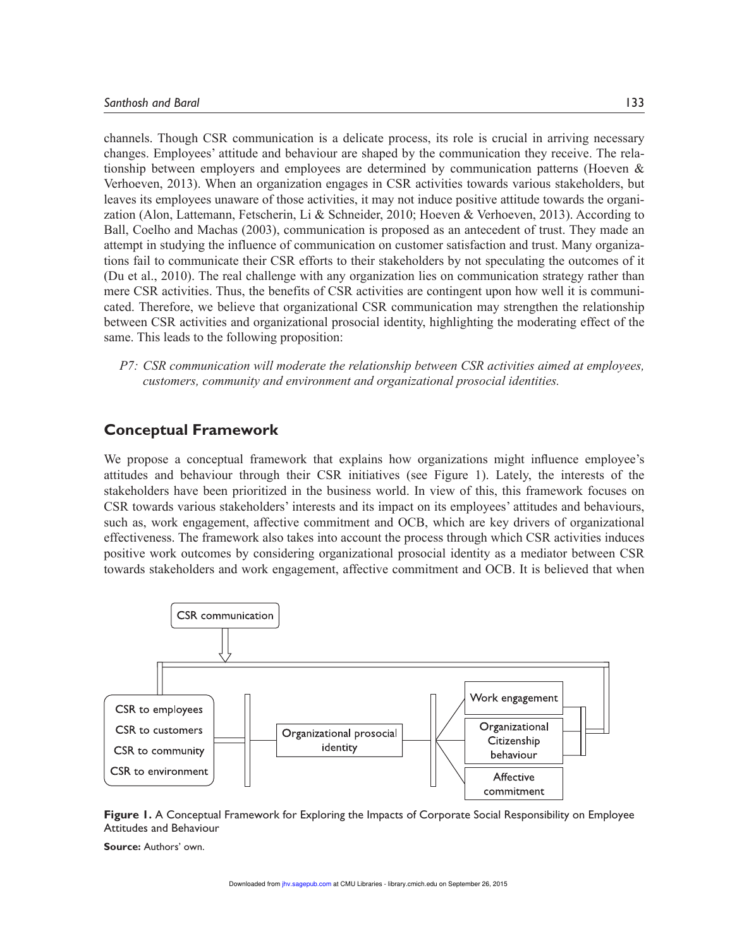channels. Though CSR communication is a delicate process, its role is crucial in arriving necessary changes. Employees' attitude and behaviour are shaped by the communication they receive. The relationship between employers and employees are determined by communication patterns (Hoeven & Verhoeven, 2013). When an organization engages in CSR activities towards various stakeholders, but leaves its employees unaware of those activities, it may not induce positive attitude towards the organization (Alon, Lattemann, Fetscherin, Li & Schneider, 2010; Hoeven & Verhoeven, 2013). According to Ball, Coelho and Machas (2003), communication is proposed as an antecedent of trust. They made an attempt in studying the influence of communication on customer satisfaction and trust. Many organizations fail to communicate their CSR efforts to their stakeholders by not speculating the outcomes of it (Du et al., 2010). The real challenge with any organization lies on communication strategy rather than mere CSR activities. Thus, the benefits of CSR activities are contingent upon how well it is communicated. Therefore, we believe that organizational CSR communication may strengthen the relationship between CSR activities and organizational prosocial identity, highlighting the moderating effect of the same. This leads to the following proposition:

*P7: CSR communication will moderate the relationship between CSR activities aimed at employees, customers, community and environment and organizational prosocial identities.*

### **Conceptual Framework**

We propose a conceptual framework that explains how organizations might influence employee's attitudes and behaviour through their CSR initiatives (see Figure 1). Lately, the interests of the stakeholders have been prioritized in the business world. In view of this, this framework focuses on CSR towards various stakeholders' interests and its impact on its employees' attitudes and behaviours, such as, work engagement, affective commitment and OCB, which are key drivers of organizational effectiveness. The framework also takes into account the process through which CSR activities induces positive work outcomes by considering organizational prosocial identity as a mediator between CSR towards stakeholders and work engagement, affective commitment and OCB. It is believed that when



**Figure 1.** A Conceptual Framework for Exploring the Impacts of Corporate Social Responsibility on Employee Attitudes and Behaviour

**Source:** Authors' own.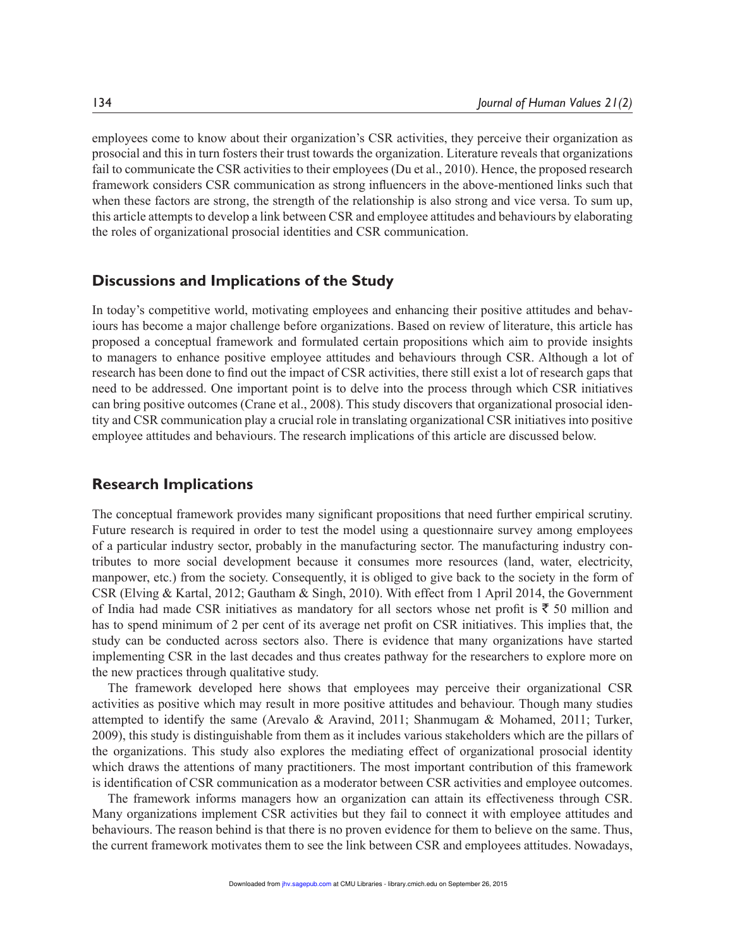employees come to know about their organization's CSR activities, they perceive their organization as prosocial and this in turn fosters their trust towards the organization. Literature reveals that organizations fail to communicate the CSR activities to their employees (Du et al., 2010). Hence, the proposed research framework considers CSR communication as strong influencers in the above-mentioned links such that when these factors are strong, the strength of the relationship is also strong and vice versa. To sum up, this article attempts to develop a link between CSR and employee attitudes and behaviours by elaborating the roles of organizational prosocial identities and CSR communication.

### **Discussions and Implications of the Study**

In today's competitive world, motivating employees and enhancing their positive attitudes and behaviours has become a major challenge before organizations. Based on review of literature, this article has proposed a conceptual framework and formulated certain propositions which aim to provide insights to managers to enhance positive employee attitudes and behaviours through CSR. Although a lot of research has been done to find out the impact of CSR activities, there still exist a lot of research gaps that need to be addressed. One important point is to delve into the process through which CSR initiatives can bring positive outcomes (Crane et al., 2008). This study discovers that organizational prosocial identity and CSR communication play a crucial role in translating organizational CSR initiatives into positive employee attitudes and behaviours. The research implications of this article are discussed below.

#### **Research Implications**

The conceptual framework provides many significant propositions that need further empirical scrutiny. Future research is required in order to test the model using a questionnaire survey among employees of a particular industry sector, probably in the manufacturing sector. The manufacturing industry contributes to more social development because it consumes more resources (land, water, electricity, manpower, etc.) from the society. Consequently, it is obliged to give back to the society in the form of CSR (Elving & Kartal, 2012; Gautham & Singh, 2010). With effect from 1 April 2014, the Government of India had made CSR initiatives as mandatory for all sectors whose net profit is  $\bar{\tau}$  50 million and has to spend minimum of 2 per cent of its average net profit on CSR initiatives. This implies that, the study can be conducted across sectors also. There is evidence that many organizations have started implementing CSR in the last decades and thus creates pathway for the researchers to explore more on the new practices through qualitative study.

The framework developed here shows that employees may perceive their organizational CSR activities as positive which may result in more positive attitudes and behaviour. Though many studies attempted to identify the same (Arevalo & Aravind, 2011; Shanmugam & Mohamed, 2011; Turker, 2009), this study is distinguishable from them as it includes various stakeholders which are the pillars of the organizations. This study also explores the mediating effect of organizational prosocial identity which draws the attentions of many practitioners. The most important contribution of this framework is identification of CSR communication as a moderator between CSR activities and employee outcomes.

The framework informs managers how an organization can attain its effectiveness through CSR. Many organizations implement CSR activities but they fail to connect it with employee attitudes and behaviours. The reason behind is that there is no proven evidence for them to believe on the same. Thus, the current framework motivates them to see the link between CSR and employees attitudes. Nowadays,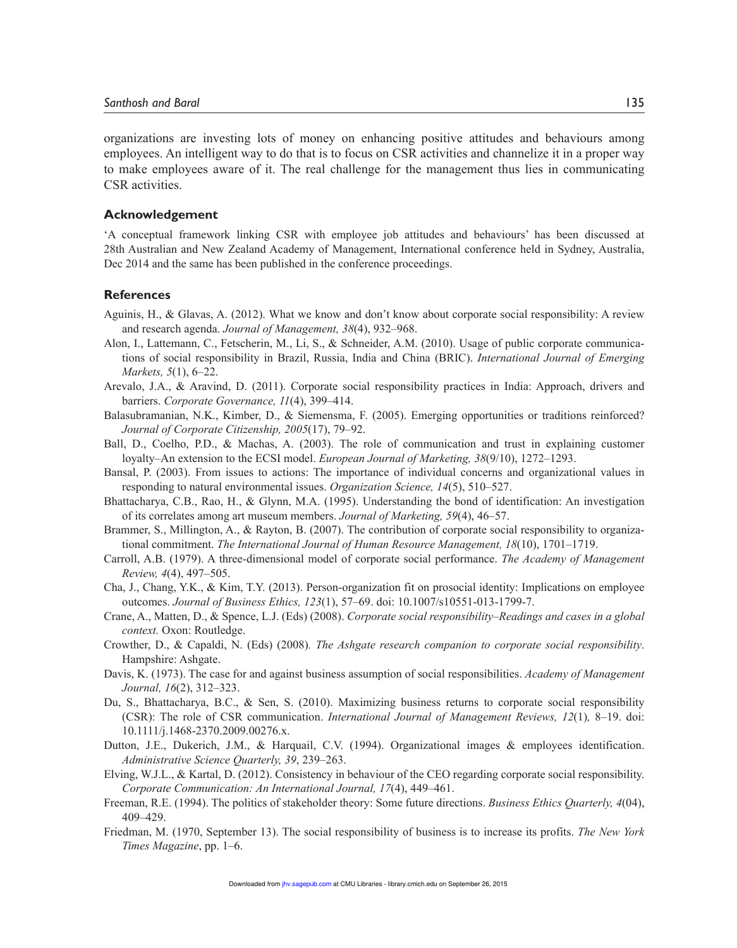organizations are investing lots of money on enhancing positive attitudes and behaviours among employees. An intelligent way to do that is to focus on CSR activities and channelize it in a proper way to make employees aware of it. The real challenge for the management thus lies in communicating CSR activities.

#### **Acknowledgement**

'A conceptual framework linking CSR with employee job attitudes and behaviours' has been discussed at 28th Australian and New Zealand Academy of Management, International conference held in Sydney, Australia, Dec 2014 and the same has been published in the conference proceedings.

#### **References**

- Aguinis, H., & Glavas, A. (2012). What we know and don't know about corporate social responsibility: A review and research agenda. *Journal of Management, 38*(4), 932–968.
- Alon, I., Lattemann, C., Fetscherin, M., Li, S., & Schneider, A.M. (2010). Usage of public corporate communications of social responsibility in Brazil, Russia, India and China (BRIC). *International Journal of Emerging Markets, 5*(1), 6–22.
- Arevalo, J.A., & Aravind, D. (2011). Corporate social responsibility practices in India: Approach, drivers and barriers. *Corporate Governance, 11*(4), 399–414.
- Balasubramanian, N.K., Kimber, D., & Siemensma, F. (2005). Emerging opportunities or traditions reinforced? *Journal of Corporate Citizenship, 2005*(17), 79–92.
- Ball, D., Coelho, P.D., & Machas, A. (2003). The role of communication and trust in explaining customer loyalty–An extension to the ECSI model. *European Journal of Marketing, 38*(9/10), 1272–1293.
- Bansal, P. (2003). From issues to actions: The importance of individual concerns and organizational values in responding to natural environmental issues. *Organization Science, 14*(5), 510–527.
- Bhattacharya, C.B., Rao, H., & Glynn, M.A. (1995). Understanding the bond of identification: An investigation of its correlates among art museum members. *Journal of Marketing, 59*(4), 46–57.
- Brammer, S., Millington, A., & Rayton, B. (2007). The contribution of corporate social responsibility to organizational commitment. *The International Journal of Human Resource Management, 18*(10), 1701–1719.
- Carroll, A.B. (1979). A three-dimensional model of corporate social performance. *The Academy of Management Review, 4*(4), 497–505.
- Cha, J., Chang, Y.K., & Kim, T.Y. (2013). Person-organization fit on prosocial identity: Implications on employee outcomes. *Journal of Business Ethics, 123*(1), 57–69. doi: 10.1007/s10551-013-1799-7.
- Crane, A., Matten, D., & Spence, L.J. (Eds) (2008). *Corporate social responsibility–Readings and cases in a global context.* Oxon: Routledge.
- Crowther, D., & Capaldi, N. (Eds) (2008)*. The Ashgate research companion to corporate social responsibility*. Hampshire: Ashgate.
- Davis, K. (1973). The case for and against business assumption of social responsibilities. *Academy of Management Journal, 16*(2), 312–323.
- Du, S., Bhattacharya, B.C., & Sen, S. (2010). Maximizing business returns to corporate social responsibility (CSR): The role of CSR communication. *International Journal of Management Reviews, 12*(1)*,* 8–19. doi: 10.1111/j.1468-2370.2009.00276.x.
- Dutton, J.E., Dukerich, J.M., & Harquail, C.V. (1994). Organizational images & employees identification. *Administrative Science Quarterly, 39*, 239–263.
- Elving, W.J.L., & Kartal, D. (2012). Consistency in behaviour of the CEO regarding corporate social responsibility. *Corporate Communication: An International Journal, 17*(4), 449–461.
- Freeman, R.E. (1994). The politics of stakeholder theory: Some future directions. *Business Ethics Quarterly, 4*(04), 409–429.
- Friedman, M. (1970, September 13). The social responsibility of business is to increase its profits. *The New York Times Magazine*, pp. 1–6.